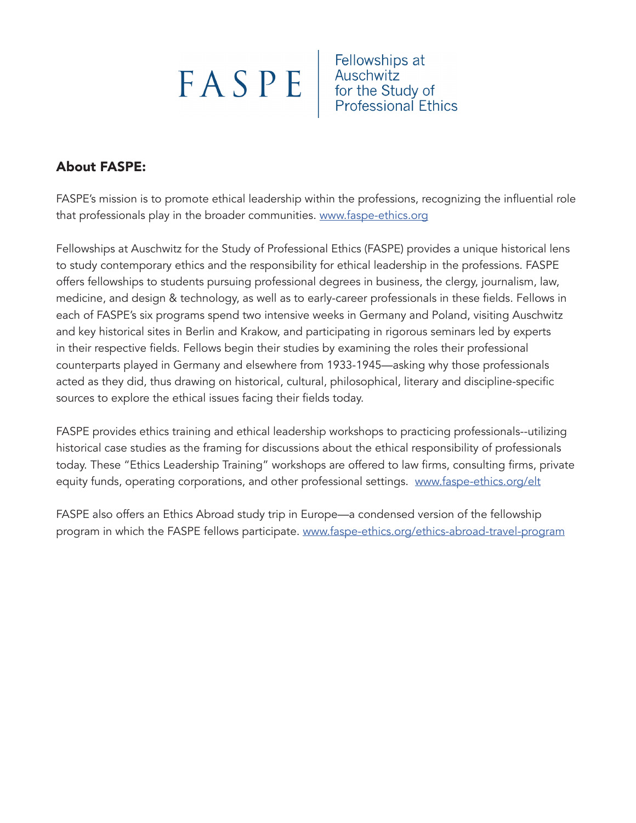$\begin{tabular}{|c|c|c|c|} \hline \textbf{FA} & \textbf{Fellowships at} \\ \hline \textbf{A} & \textbf{Auschwitz} \\ \hline \textbf{for the Study of} \\ \hline \textbf{Professor} & \textbf{Professoral Ethics} \\ \hline \end{tabular}$ 

# About FASPE:

FASPE's mission is to promote ethical leadership within the professions, recognizing the influential role that professionals play in the broader communities. www.faspe-ethics.org

Fellowships at Auschwitz for the Study of Professional Ethics (FASPE) provides a unique historical lens to study contemporary ethics and the responsibility for ethical leadership in the professions. FASPE offers fellowships to students pursuing professional degrees in business, the clergy, journalism, law, medicine, and design & technology, as well as to early-career professionals in these fields. Fellows in each of FASPE's six programs spend two intensive weeks in Germany and Poland, visiting Auschwitz and key historical sites in Berlin and Krakow, and participating in rigorous seminars led by experts in their respective fields. Fellows begin their studies by examining the roles their professional counterparts played in Germany and elsewhere from 1933-1945—asking why those professionals acted as they did, thus drawing on historical, cultural, philosophical, literary and discipline-specific sources to explore the ethical issues facing their fields today.

FASPE provides ethics training and ethical leadership workshops to practicing professionals--utilizing historical case studies as the framing for discussions about the ethical responsibility of professionals today. These "Ethics Leadership Training" workshops are offered to law firms, consulting firms, private equity funds, operating corporations, and other professional settings. www.faspe-ethics.org/elt

FASPE also offers an Ethics Abroad study trip in Europe—a condensed version of the fellowship program in which the FASPE fellows participate. www.faspe-ethics.org/ethics-abroad-travel-program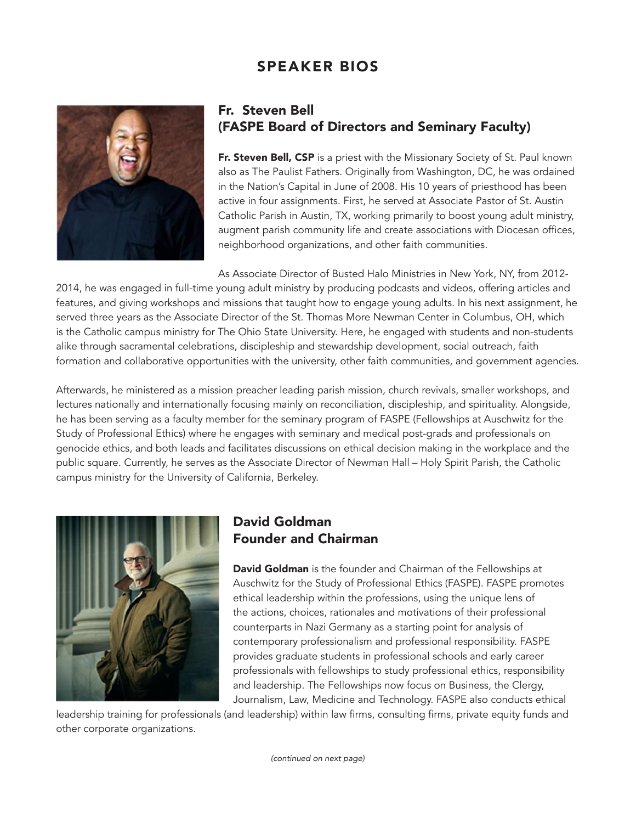# SPEAKER BIOS



#### Fr. Steven Bell (FASPE Board of Directors and Seminary Faculty)

Fr. Steven Bell, CSP is a priest with the Missionary Society of St. Paul known also as The Paulist Fathers. Originally from Washington, DC, he was ordained in the Nation's Capital in June of 2008. His 10 years of priesthood has been active in four assignments. First, he served at Associate Pastor of St. Austin Catholic Parish in Austin, TX, working primarily to boost young adult ministry, augment parish community life and create associations with Diocesan offices, neighborhood organizations, and other faith communities.

As Associate Director of Busted Halo Ministries in New York, NY, from 2012- 2014, he was engaged in full-time young adult ministry by producing podcasts and videos, offering articles and features, and giving workshops and missions that taught how to engage young adults. In his next assignment, he served three years as the Associate Director of the St. Thomas More Newman Center in Columbus, OH, which is the Catholic campus ministry for The Ohio State University. Here, he engaged with students and non-students alike through sacramental celebrations, discipleship and stewardship development, social outreach, faith formation and collaborative opportunities with the university, other faith communities, and government agencies.

Afterwards, he ministered as a mission preacher leading parish mission, church revivals, smaller workshops, and lectures nationally and internationally focusing mainly on reconciliation, discipleship, and spirituality. Alongside, he has been serving as a faculty member for the seminary program of FASPE (Fellowships at Auschwitz for the Study of Professional Ethics) where he engages with seminary and medical post-grads and professionals on genocide ethics, and both leads and facilitates discussions on ethical decision making in the workplace and the public square. Currently, he serves as the Associate Director of Newman Hall – Holy Spirit Parish, the Catholic campus ministry for the University of California, Berkeley.



## David Goldman Founder and Chairman

David Goldman is the founder and Chairman of the Fellowships at Auschwitz for the Study of Professional Ethics (FASPE). FASPE promotes ethical leadership within the professions, using the unique lens of the actions, choices, rationales and motivations of their professional counterparts in Nazi Germany as a starting point for analysis of contemporary professionalism and professional responsibility. FASPE provides graduate students in professional schools and early career professionals with fellowships to study professional ethics, responsibility and leadership. The Fellowships now focus on Business, the Clergy, Journalism, Law, Medicine and Technology. FASPE also conducts ethical

leadership training for professionals (and leadership) within law firms, consulting firms, private equity funds and other corporate organizations.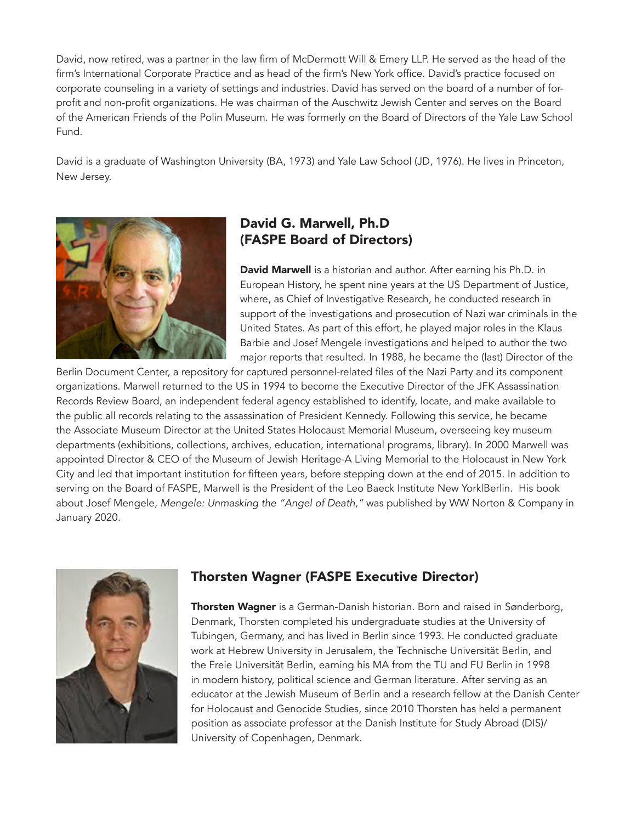David, now retired, was a partner in the law firm of McDermott Will & Emery LLP. He served as the head of the firm's International Corporate Practice and as head of the firm's New York office. David's practice focused on corporate counseling in a variety of settings and industries. David has served on the board of a number of forprofit and non-profit organizations. He was chairman of the Auschwitz Jewish Center and serves on the Board of the American Friends of the Polin Museum. He was formerly on the Board of Directors of the Yale Law School Fund.

David is a graduate of Washington University (BA, 1973) and Yale Law School (JD, 1976). He lives in Princeton, New Jersey.



## David G. Marwell, Ph.D (FASPE Board of Directors)

David Marwell is a historian and author. After earning his Ph.D. in European History, he spent nine years at the US Department of Justice, where, as Chief of Investigative Research, he conducted research in support of the investigations and prosecution of Nazi war criminals in the United States. As part of this effort, he played major roles in the Klaus Barbie and Josef Mengele investigations and helped to author the two major reports that resulted. In 1988, he became the (last) Director of the

Berlin Document Center, a repository for captured personnel-related files of the Nazi Party and its component organizations. Marwell returned to the US in 1994 to become the Executive Director of the JFK Assassination Records Review Board, an independent federal agency established to identify, locate, and make available to the public all records relating to the assassination of President Kennedy. Following this service, he became the Associate Museum Director at the United States Holocaust Memorial Museum, overseeing key museum departments (exhibitions, collections, archives, education, international programs, library). In 2000 Marwell was appointed Director & CEO of the Museum of Jewish Heritage-A Living Memorial to the Holocaust in New York City and led that important institution for fifteen years, before stepping down at the end of 2015. In addition to serving on the Board of FASPE, Marwell is the President of the Leo Baeck Institute New York|Berlin. His book about Josef Mengele, *Mengele: Unmasking the "Angel of Death,"* was published by WW Norton & Company in January 2020.



## Thorsten Wagner (FASPE Executive Director)

Thorsten Wagner is a German-Danish historian. Born and raised in Sønderborg, Denmark, Thorsten completed his undergraduate studies at the University of Tubingen, Germany, and has lived in Berlin since 1993. He conducted graduate work at Hebrew University in Jerusalem, the Technische Universität Berlin, and the Freie Universität Berlin, earning his MA from the TU and FU Berlin in 1998 in modern history, political science and German literature. After serving as an educator at the Jewish Museum of Berlin and a research fellow at the Danish Center for Holocaust and Genocide Studies, since 2010 Thorsten has held a permanent position as associate professor at the Danish Institute for Study Abroad (DIS)/ University of Copenhagen, Denmark.